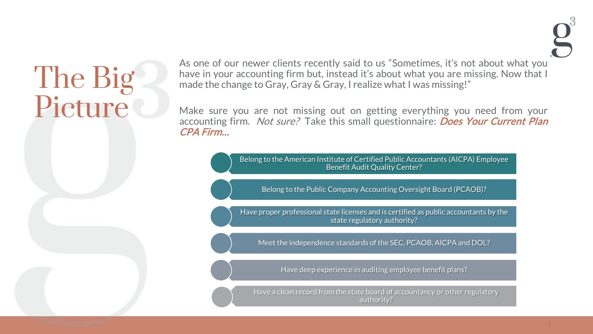## The Big Picture

As one of our newer clients recently said to us "Sometimes, it's not about what you have in your accounting firm but, instead it's about what you are missing. Now that I made the change to Gray, Gray & Gray, I realize what I was missing!"

Make sure you are not missing out on getting everything you need from your accounting firm. Not sure? Take this small questionnaire: Does Your Current Plan CPA Firm…

> Belong to the American Institute of Certified Public Accountants (AICPA) Employee Benefit Audit Quality Center?

Belong to the Public Company Accounting Oversight Board (PCAOB)?

Have proper professional state licenses and is certified as public accountants by the state regulatory authority?

Meet the independence standards of the SEC, PCAOB, AICPA and DOL?

Have deep experience in auditing employee benefit plans?

Have a clean record from the state board of accountancy or other regulatory authority?